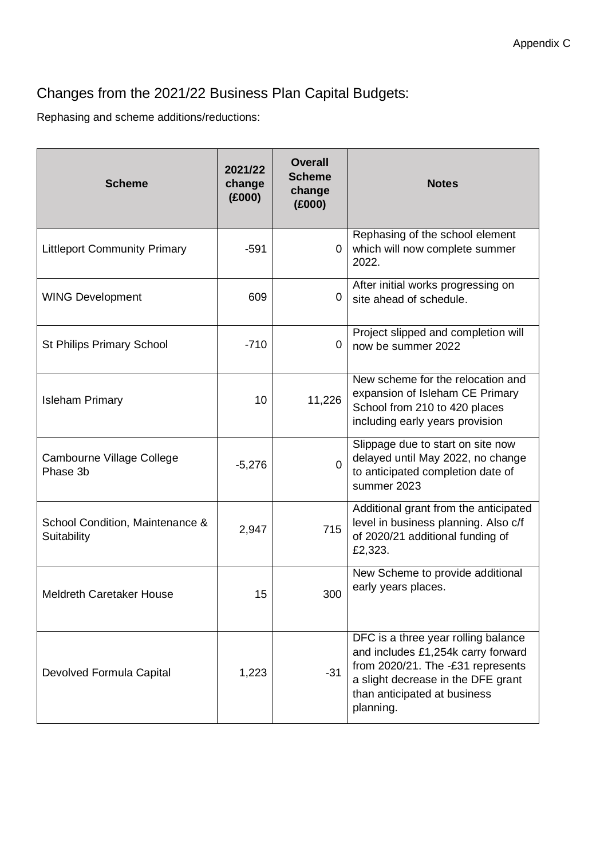## Changes from the 2021/22 Business Plan Capital Budgets:

Rephasing and scheme additions/reductions:

| <b>Scheme</b>                                  | 2021/22<br>change<br>(E000) | <b>Overall</b><br><b>Scheme</b><br>change<br>(E000) | <b>Notes</b>                                                                                                                                                                                      |
|------------------------------------------------|-----------------------------|-----------------------------------------------------|---------------------------------------------------------------------------------------------------------------------------------------------------------------------------------------------------|
| <b>Littleport Community Primary</b>            | -591                        | $\mathbf{0}$                                        | Rephasing of the school element<br>which will now complete summer<br>2022.                                                                                                                        |
| <b>WING Development</b>                        | 609                         | 0                                                   | After initial works progressing on<br>site ahead of schedule.                                                                                                                                     |
| <b>St Philips Primary School</b>               | $-710$                      | 0                                                   | Project slipped and completion will<br>now be summer 2022                                                                                                                                         |
| <b>Isleham Primary</b>                         | 10                          | 11,226                                              | New scheme for the relocation and<br>expansion of Isleham CE Primary<br>School from 210 to 420 places<br>including early years provision                                                          |
| Cambourne Village College<br>Phase 3b          | $-5,276$                    | $\Omega$                                            | Slippage due to start on site now<br>delayed until May 2022, no change<br>to anticipated completion date of<br>summer 2023                                                                        |
| School Condition, Maintenance &<br>Suitability | 2,947                       | 715                                                 | Additional grant from the anticipated<br>level in business planning. Also c/f<br>of 2020/21 additional funding of<br>£2,323.                                                                      |
| <b>Meldreth Caretaker House</b>                | 15                          | 300                                                 | New Scheme to provide additional<br>early years places.                                                                                                                                           |
| Devolved Formula Capital                       | 1,223                       | $-31$                                               | DFC is a three year rolling balance<br>and includes £1,254k carry forward<br>from 2020/21. The -£31 represents<br>a slight decrease in the DFE grant<br>than anticipated at business<br>planning. |